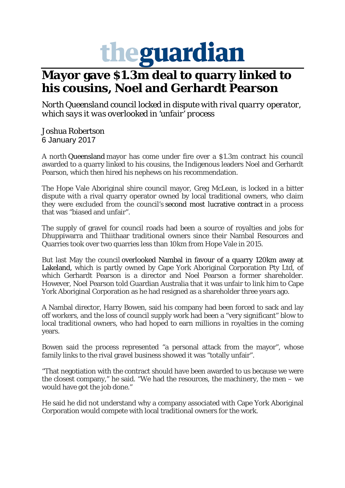## theguardian

## **Mayor gave \$1.3m deal to quarry linked to his cousins, Noel and Gerhardt Pearson**

*North Queensland council locked in dispute with rival quarry operator, which says it was overlooked in 'unfair' process*

Joshua Robertson 6 January 2017

A north Queensland mayor has come under fire over a \$1.3m contract his council awarded to a quarry linked to his cousins, the Indigenous leaders Noel and Gerhardt Pearson, which then hired his nephews on his recommendation.

The Hope Vale Aboriginal shire council mayor, Greg McLean, is locked in a bitter dispute with a rival quarry operator owned by local traditional owners, who claim they were excluded from the council's second most lucrative contract in a process that was "biased and unfair".

The supply of gravel for council roads had been a source of royalties and jobs for Dhuppiwarra and Thiithaar traditional owners since their Nambal Resources and Quarries took over two quarries less than 10km from Hope Vale in 2015.

But last May the council overlooked Nambal in favour of a quarry 120km away at Lakeland, which is partly owned by Cape York Aboriginal Corporation Pty Ltd, of which Gerhardt Pearson is a director and Noel Pearson a former shareholder. However, Noel Pearson told Guardian Australia that it was unfair to link him to Cape York Aboriginal Corporation as he had resigned as a shareholder three years ago.

A Nambal director, Harry Bowen, said his company had been forced to sack and lay off workers, and the loss of council supply work had been a "very significant" blow to local traditional owners, who had hoped to earn millions in royalties in the coming years.

Bowen said the process represented "a personal attack from the mayor", whose family links to the rival gravel business showed it was "totally unfair".

"That negotiation with the contract should have been awarded to us because we were the closest company," he said. "We had the resources, the machinery, the men – we would have got the job done."

He said he did not understand why a company associated with Cape York Aboriginal Corporation would compete with local traditional owners for the work.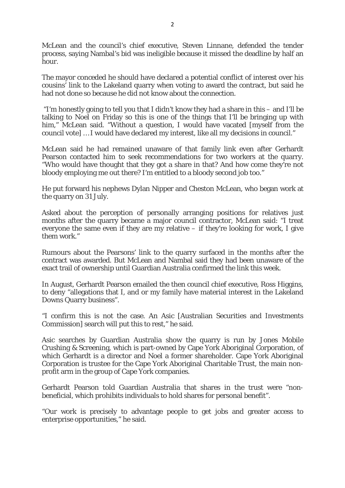McLean and the council's chief executive, Steven Linnane, defended the tender process, saying Nambal's bid was ineligible because it missed the deadline by half an hour.

The mayor conceded he should have declared a potential conflict of interest over his cousins' link to the Lakeland quarry when voting to award the contract, but said he had not done so because he did not know about the connection.

"I'm honestly going to tell you that I didn't know they had a share in this – and I'll be talking to Noel on Friday so this is one of the things that I'll be bringing up with him." McLean said. "Without a question. I would have vacated [myself from the council vote] … I would have declared my interest, like all my decisions in council."

McLean said he had remained unaware of that family link even after Gerhardt Pearson contacted him to seek recommendations for two workers at the quarry. "Who would have thought that they got a share in that? And how come they're not bloody employing me out there? I'm entitled to a bloody second job too."

He put forward his nephews Dylan Nipper and Cheston McLean, who began work at the quarry on 31 July.

Asked about the perception of personally arranging positions for relatives just months after the quarry became a major council contractor, McLean said: "I treat everyone the same even if they are my relative – if they're looking for work, I give them work."

Rumours about the Pearsons' link to the quarry surfaced in the months after the contract was awarded. But McLean and Nambal said they had been unaware of the exact trail of ownership until Guardian Australia confirmed the link this week.

In August, Gerhardt Pearson emailed the then council chief executive, Ross Higgins, to deny "allegations that I, and or my family have material interest in the Lakeland Downs Quarry business".

"I confirm this is not the case. An Asic [Australian Securities and Investments Commission] search will put this to rest," he said.

Asic searches by Guardian Australia show the quarry is run by Jones Mobile Crushing & Screening, which is part-owned by Cape York Aboriginal Corporation, of which Gerhardt is a director and Noel a former shareholder. Cape York Aboriginal Corporation is trustee for the Cape York Aboriginal Charitable Trust, the main nonprofit arm in the group of Cape York companies.

Gerhardt Pearson told Guardian Australia that shares in the trust were "nonbeneficial, which prohibits individuals to hold shares for personal benefit".

"Our work is precisely to advantage people to get jobs and greater access to enterprise opportunities," he said.